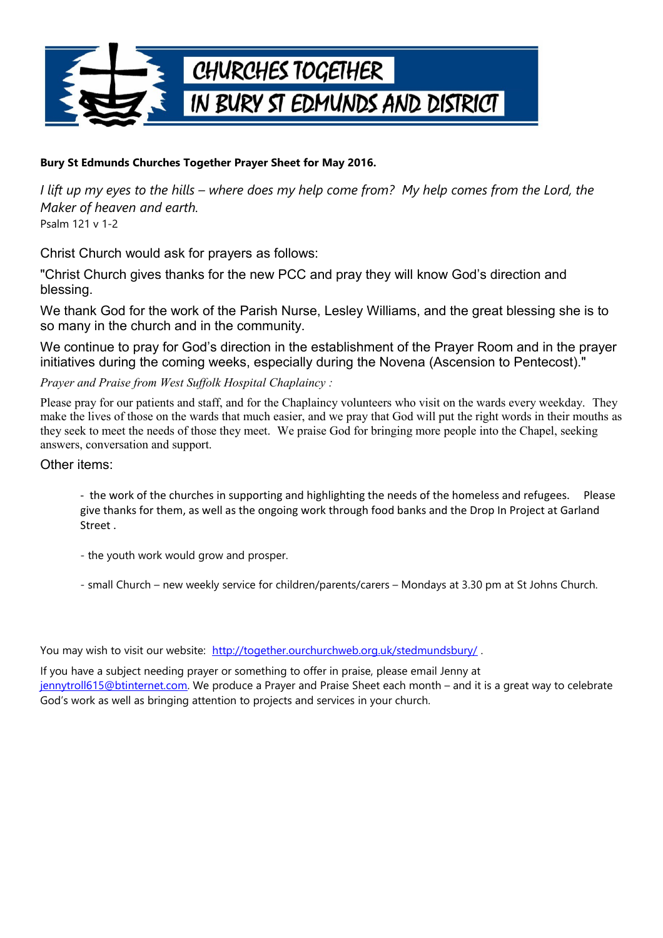

## **Bury St Edmunds Churches Together Prayer Sheet for May 2016.**

*I lift up my eyes to the hills – where does my help come from? My help comes from the Lord, the Maker of heaven and earth.* Psalm 121 v 1-2

Christ Church would ask for prayers as follows:

"Christ Church gives thanks for the new PCC and pray they will know God's direction and blessing.

We thank God for the work of the Parish Nurse, Lesley Williams, and the great blessing she is to so many in the church and in the community.

We continue to pray for God's direction in the establishment of the Prayer Room and in the prayer initiatives during the coming weeks, especially during the Novena (Ascension to Pentecost)."

*Prayer and Praise from West Suffolk Hospital Chaplaincy :*

Please pray for our patients and staff, and for the Chaplaincy volunteers who visit on the wards every weekday. They make the lives of those on the wards that much easier, and we pray that God will put the right words in their mouths as they seek to meet the needs of those they meet. We praise God for bringing more people into the Chapel, seeking answers, conversation and support.

## Other items:

- the work of the churches in supporting and highlighting the needs of the homeless and refugees. Please give thanks for them, as well as the ongoing work through food banks and the Drop In Project at Garland Street .

- the youth work would grow and prosper.

- small Church – new weekly service for children/parents/carers – Mondays at 3.30 pm at St Johns Church.

You may wish to visit our website: http://together.ourchurchweb.org.uk/stedmundsbury/.

If you have a subject needing prayer or something to offer in praise, please email Jenny at [jennytroll615@btinternet.com.](mailto:jennytroll615@btinternet.com) We produce a Prayer and Praise Sheet each month – and it is a great way to celebrate God's work as well as bringing attention to projects and services in your church.